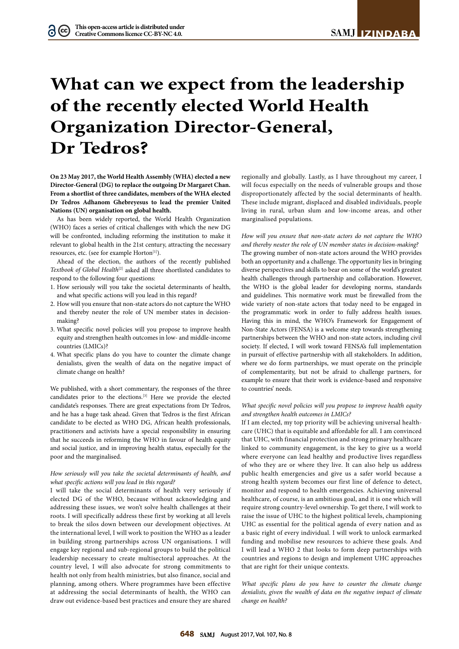# **What can we expect from the leadership of the recently elected World Health Organization Director-General, Dr Tedros?**

**On 23 May 2017, the World Health Assembly (WHA) elected a new Director-General (DG) to replace the outgoing Dr Margaret Chan. From a shortlist of three candidates, members of the WHA elected Dr Tedros Adhanom Ghebreyesus to lead the premier United Nations (UN) organisation on global health.** 

As has been widely reported, the World Health Organization (WHO) faces a series of critical challenges with which the new DG will be confronted, including reforming the institution to make it relevant to global health in the 21st century, attracting the necessary resources, etc. (see for example Horton<sup>[1]</sup>).

Ahead of the election, the authors of the recently published *Textbook of Global Health*[2] asked all three shortlisted candidates to respond to the following four questions:

- 1. How seriously will you take the societal determinants of health, and what specific actions will you lead in this regard?
- 2. How will you ensure that non-state actors do not capture the WHO and thereby neuter the role of UN member states in decisionmaking?
- 3. What specific novel policies will you propose to improve health equity and strengthen health outcomes in low- and middle-income countries (LMICs)?
- 4. What specific plans do you have to counter the climate change denialists, given the wealth of data on the negative impact of climate change on health?

We published, with a short commentary, the responses of the three candidates prior to the elections.<sup>[3]</sup> Here we provide the elected candidate's responses. There are great expectations from Dr Tedros, and he has a huge task ahead. Given that Tedros is the first African candidate to be elected as WHO DG, African health professionals, practitioners and activists have a special responsibility in ensuring that he succeeds in reforming the WHO in favour of health equity and social justice, and in improving health status, especially for the poor and the marginalised.

# *How seriously will you take the societal determinants of health, and what specific actions will you lead in this regard?*

I will take the social determinants of health very seriously if elected DG of the WHO, because without acknowledging and addressing these issues, we won't solve health challenges at their roots. I will specifically address these first by working at all levels to break the silos down between our development objectives. At the international level, I will work to position the WHO as a leader in building strong partnerships across UN organisations. I will engage key regional and sub-regional groups to build the political leadership necessary to create multisectoral approaches. At the country level, I will also advocate for strong commitments to health not only from health ministries, but also finance, social and planning, among others. Where programmes have been effective at addressing the social determinants of health, the WHO can draw out evidence-based best practices and ensure they are shared

regionally and globally. Lastly, as I have throughout my career, I will focus especially on the needs of vulnerable groups and those disproportionately affected by the social determinants of health. These include migrant, displaced and disabled individuals, people living in rural, urban slum and low-income areas, and other marginalised populations.

*How will you ensure that non-state actors do not capture the WHO and thereby neuter the role of UN member states in decision-making?*  The growing number of non-state actors around the WHO provides both an opportunity and a challenge. The opportunity lies in bringing diverse perspectives and skills to bear on some of the world's greatest health challenges through partnership and collaboration. However, the WHO is the global leader for developing norms, standards and guidelines. This normative work must be firewalled from the wide variety of non-state actors that today need to be engaged in the programmatic work in order to fully address health issues. Having this in mind, the WHO's Framework for Engagement of Non-State Actors (FENSA) is a welcome step towards strengthening partnerships between the WHO and non-state actors, including civil society. If elected, I will work toward FENSA's full implementation in pursuit of effective partnership with all stakeholders. In addition, where we do form partnerships, we must operate on the principle of complementarity, but not be afraid to challenge partners, for example to ensure that their work is evidence-based and responsive to countries' needs.

# *What specific novel policies will you propose to improve health equity and strengthen health outcomes in LMICs?*

If I am elected, my top priority will be achieving universal healthcare (UHC) that is equitable and affordable for all. I am convinced that UHC, with financial protection and strong primary healthcare linked to community engagement, is the key to give us a world where everyone can lead healthy and productive lives regardless of who they are or where they live. It can also help us address public health emergencies and give us a safer world because a strong health system becomes our first line of defence to detect, monitor and respond to health emergencies. Achieving universal healthcare, of course, is an ambitious goal, and it is one which will require strong country-level ownership. To get there, I will work to raise the issue of UHC to the highest political levels, championing UHC as essential for the political agenda of every nation and as a basic right of every individual. I will work to unlock earmarked funding and mobilise new resources to achieve these goals. And I will lead a WHO 2 that looks to form deep partnerships with countries and regions to design and implement UHC approaches that are right for their unique contexts.

*What specific plans do you have to counter the climate change denialists, given the wealth of data on the negative impact of climate change on health?*